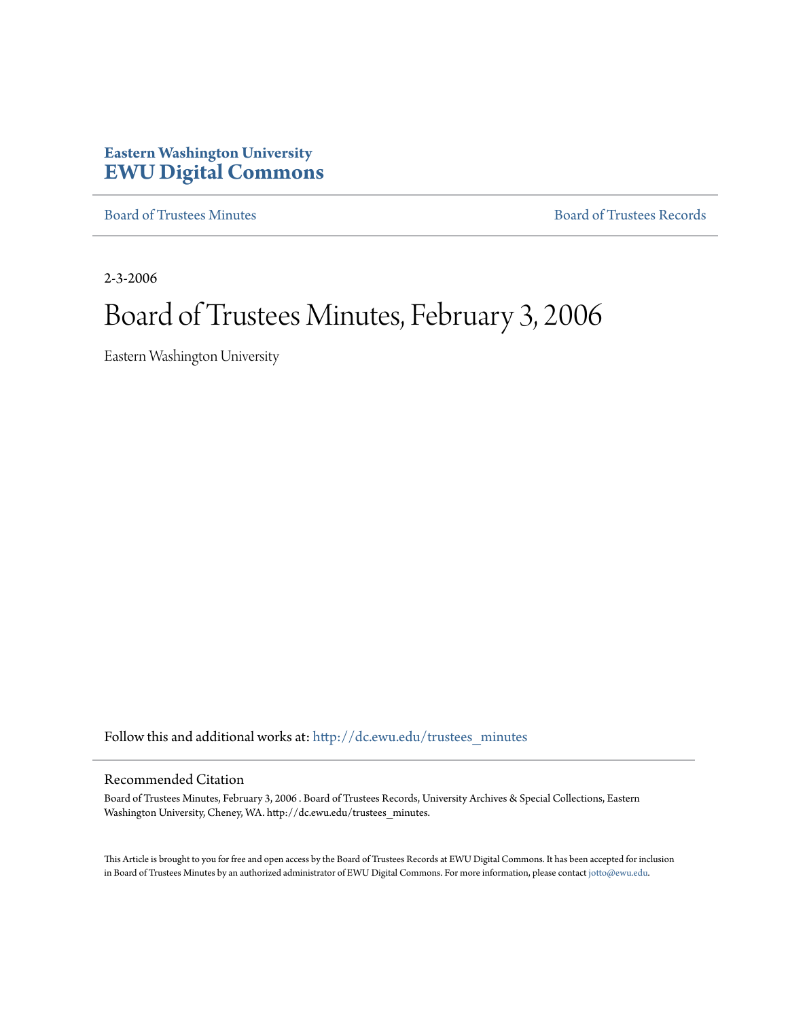# **Eastern Washington University [EWU Digital Commons](http://dc.ewu.edu?utm_source=dc.ewu.edu%2Ftrustees_minutes%2F648&utm_medium=PDF&utm_campaign=PDFCoverPages)**

[Board of Trustees Minutes](http://dc.ewu.edu/trustees_minutes?utm_source=dc.ewu.edu%2Ftrustees_minutes%2F648&utm_medium=PDF&utm_campaign=PDFCoverPages) [Board of Trustees Records](http://dc.ewu.edu/trustees?utm_source=dc.ewu.edu%2Ftrustees_minutes%2F648&utm_medium=PDF&utm_campaign=PDFCoverPages)

2-3-2006

# Board of Trustees Minutes, February 3, 2006

Eastern Washington University

Follow this and additional works at: [http://dc.ewu.edu/trustees\\_minutes](http://dc.ewu.edu/trustees_minutes?utm_source=dc.ewu.edu%2Ftrustees_minutes%2F648&utm_medium=PDF&utm_campaign=PDFCoverPages)

#### Recommended Citation

Board of Trustees Minutes, February 3, 2006 . Board of Trustees Records, University Archives & Special Collections, Eastern Washington University, Cheney, WA. http://dc.ewu.edu/trustees\_minutes.

This Article is brought to you for free and open access by the Board of Trustees Records at EWU Digital Commons. It has been accepted for inclusion in Board of Trustees Minutes by an authorized administrator of EWU Digital Commons. For more information, please contact [jotto@ewu.edu.](mailto:jotto@ewu.edu)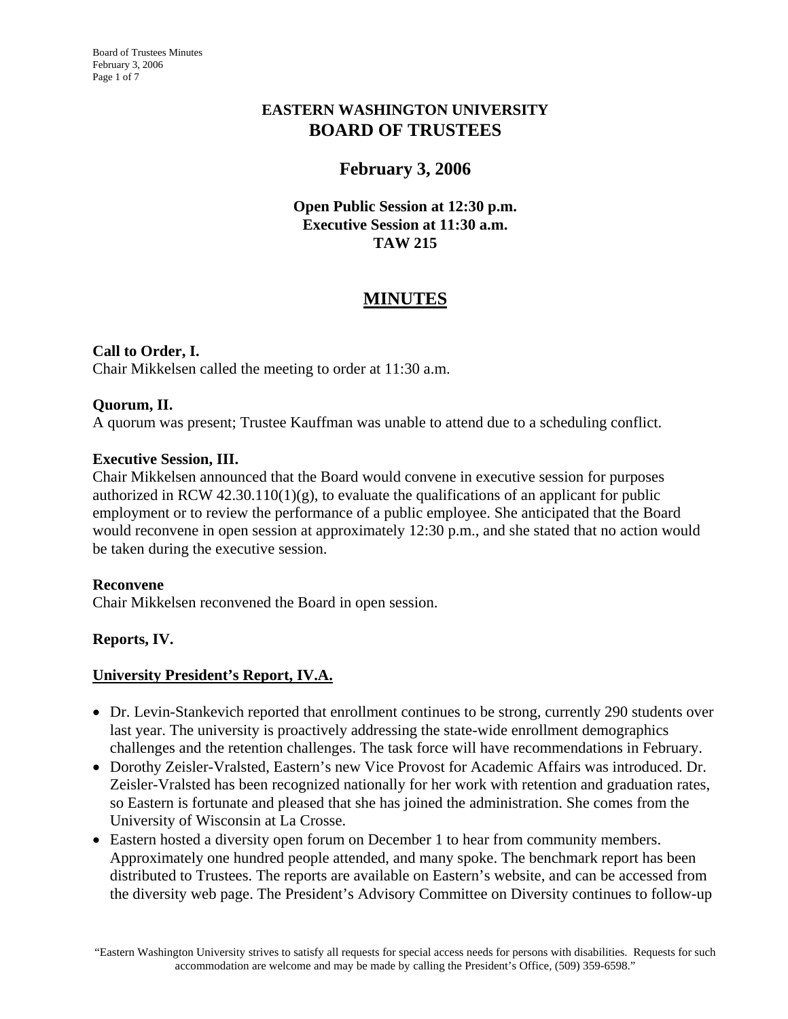## **EASTERN WASHINGTON UNIVERSITY BOARD OF TRUSTEES**

# **February 3, 2006**

## **Open Public Session at 12:30 p.m. Executive Session at 11:30 a.m. TAW 215**

# **MINUTES**

## **Call to Order, I.**

Chair Mikkelsen called the meeting to order at 11:30 a.m.

## **Quorum, II.**

A quorum was present; Trustee Kauffman was unable to attend due to a scheduling conflict.

## **Executive Session, III.**

Chair Mikkelsen announced that the Board would convene in executive session for purposes authorized in RCW  $42.30.110(1)(g)$ , to evaluate the qualifications of an applicant for public employment or to review the performance of a public employee. She anticipated that the Board would reconvene in open session at approximately 12:30 p.m., and she stated that no action would be taken during the executive session.

## **Reconvene**

Chair Mikkelsen reconvened the Board in open session.

## **Reports, IV.**

## **University President's Report, IV.A.**

- Dr. Levin-Stankevich reported that enrollment continues to be strong, currently 290 students over last year. The university is proactively addressing the state-wide enrollment demographics challenges and the retention challenges. The task force will have recommendations in February.
- Dorothy Zeisler-Vralsted, Eastern's new Vice Provost for Academic Affairs was introduced. Dr. Zeisler-Vralsted has been recognized nationally for her work with retention and graduation rates, so Eastern is fortunate and pleased that she has joined the administration. She comes from the University of Wisconsin at La Crosse.
- Eastern hosted a diversity open forum on December 1 to hear from community members. Approximately one hundred people attended, and many spoke. The benchmark report has been distributed to Trustees. The reports are available on Eastern's website, and can be accessed from the diversity web page. The President's Advisory Committee on Diversity continues to follow-up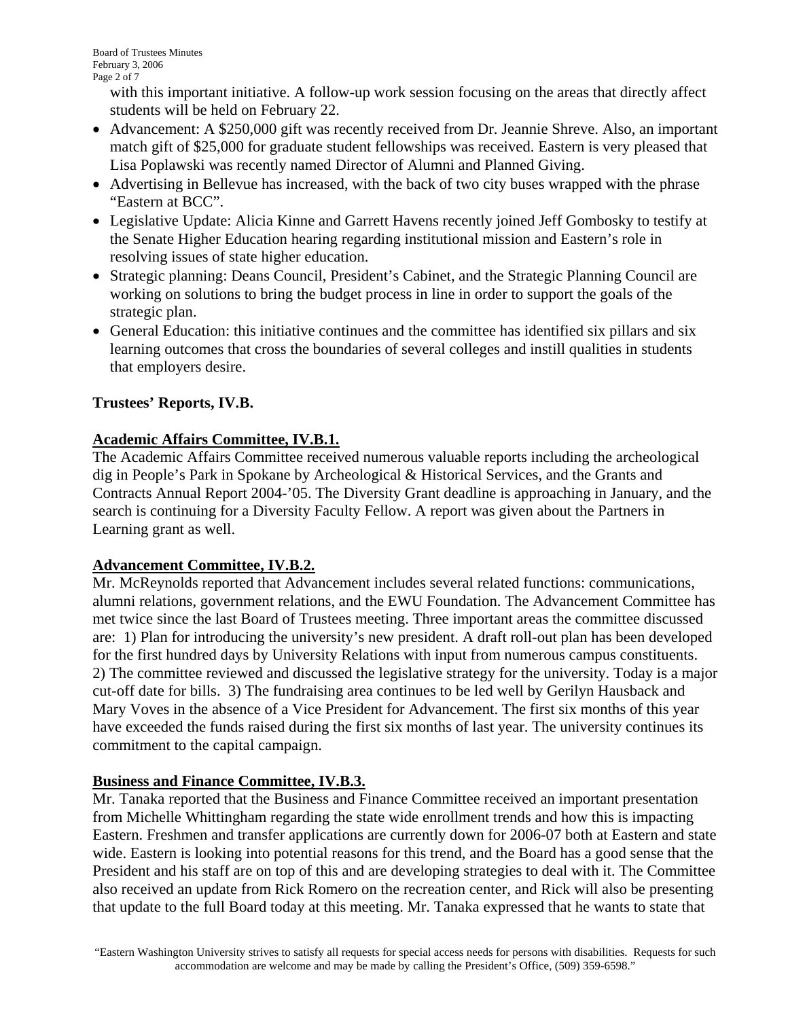with this important initiative. A follow-up work session focusing on the areas that directly affect students will be held on February 22.

- Advancement: A \$250,000 gift was recently received from Dr. Jeannie Shreve. Also, an important match gift of \$25,000 for graduate student fellowships was received. Eastern is very pleased that Lisa Poplawski was recently named Director of Alumni and Planned Giving.
- Advertising in Bellevue has increased, with the back of two city buses wrapped with the phrase "Eastern at BCC".
- Legislative Update: Alicia Kinne and Garrett Havens recently joined Jeff Gombosky to testify at the Senate Higher Education hearing regarding institutional mission and Eastern's role in resolving issues of state higher education.
- Strategic planning: Deans Council, President's Cabinet, and the Strategic Planning Council are working on solutions to bring the budget process in line in order to support the goals of the strategic plan.
- General Education: this initiative continues and the committee has identified six pillars and six learning outcomes that cross the boundaries of several colleges and instill qualities in students that employers desire.

## **Trustees' Reports, IV.B.**

## **Academic Affairs Committee, IV.B.1.**

The Academic Affairs Committee received numerous valuable reports including the archeological dig in People's Park in Spokane by Archeological & Historical Services, and the Grants and Contracts Annual Report 2004-'05. The Diversity Grant deadline is approaching in January, and the search is continuing for a Diversity Faculty Fellow. A report was given about the Partners in Learning grant as well.

# **Advancement Committee, IV.B.2.**

Mr. McReynolds reported that Advancement includes several related functions: communications, alumni relations, government relations, and the EWU Foundation. The Advancement Committee has met twice since the last Board of Trustees meeting. Three important areas the committee discussed are: 1) Plan for introducing the university's new president. A draft roll-out plan has been developed for the first hundred days by University Relations with input from numerous campus constituents. 2) The committee reviewed and discussed the legislative strategy for the university. Today is a major cut-off date for bills. 3) The fundraising area continues to be led well by Gerilyn Hausback and Mary Voves in the absence of a Vice President for Advancement. The first six months of this year have exceeded the funds raised during the first six months of last year. The university continues its commitment to the capital campaign.

# **Business and Finance Committee, IV.B.3.**

Mr. Tanaka reported that the Business and Finance Committee received an important presentation from Michelle Whittingham regarding the state wide enrollment trends and how this is impacting Eastern. Freshmen and transfer applications are currently down for 2006-07 both at Eastern and state wide. Eastern is looking into potential reasons for this trend, and the Board has a good sense that the President and his staff are on top of this and are developing strategies to deal with it. The Committee also received an update from Rick Romero on the recreation center, and Rick will also be presenting that update to the full Board today at this meeting. Mr. Tanaka expressed that he wants to state that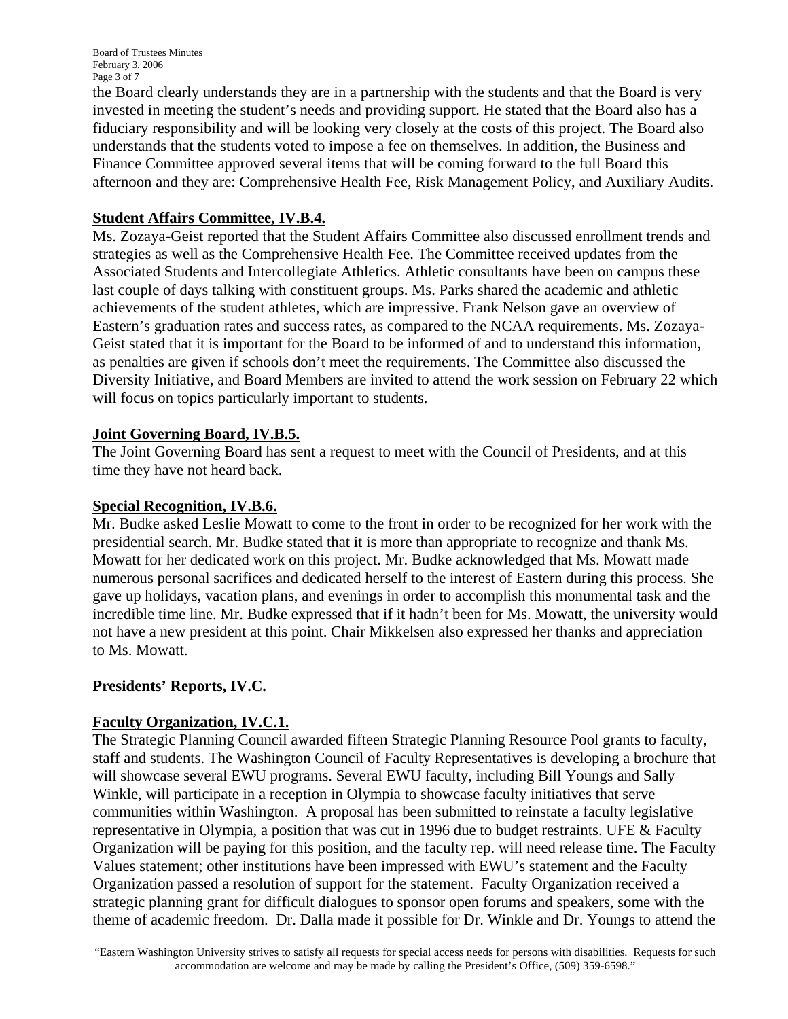Board of Trustees Minutes February 3, 2006 Page 3 of 7

the Board clearly understands they are in a partnership with the students and that the Board is very invested in meeting the student's needs and providing support. He stated that the Board also has a fiduciary responsibility and will be looking very closely at the costs of this project. The Board also understands that the students voted to impose a fee on themselves. In addition, the Business and Finance Committee approved several items that will be coming forward to the full Board this afternoon and they are: Comprehensive Health Fee, Risk Management Policy, and Auxiliary Audits.

## **Student Affairs Committee, IV.B.4.**

Ms. Zozaya-Geist reported that the Student Affairs Committee also discussed enrollment trends and strategies as well as the Comprehensive Health Fee. The Committee received updates from the Associated Students and Intercollegiate Athletics. Athletic consultants have been on campus these last couple of days talking with constituent groups. Ms. Parks shared the academic and athletic achievements of the student athletes, which are impressive. Frank Nelson gave an overview of Eastern's graduation rates and success rates, as compared to the NCAA requirements. Ms. Zozaya-Geist stated that it is important for the Board to be informed of and to understand this information, as penalties are given if schools don't meet the requirements. The Committee also discussed the Diversity Initiative, and Board Members are invited to attend the work session on February 22 which will focus on topics particularly important to students.

## **Joint Governing Board, IV.B.5.**

The Joint Governing Board has sent a request to meet with the Council of Presidents, and at this time they have not heard back.

## **Special Recognition, IV.B.6.**

Mr. Budke asked Leslie Mowatt to come to the front in order to be recognized for her work with the presidential search. Mr. Budke stated that it is more than appropriate to recognize and thank Ms. Mowatt for her dedicated work on this project. Mr. Budke acknowledged that Ms. Mowatt made numerous personal sacrifices and dedicated herself to the interest of Eastern during this process. She gave up holidays, vacation plans, and evenings in order to accomplish this monumental task and the incredible time line. Mr. Budke expressed that if it hadn't been for Ms. Mowatt, the university would not have a new president at this point. Chair Mikkelsen also expressed her thanks and appreciation to Ms. Mowatt.

## **Presidents' Reports, IV.C.**

## **Faculty Organization, IV.C.1.**

The Strategic Planning Council awarded fifteen Strategic Planning Resource Pool grants to faculty, staff and students. The Washington Council of Faculty Representatives is developing a brochure that will showcase several EWU programs. Several EWU faculty, including Bill Youngs and Sally Winkle, will participate in a reception in Olympia to showcase faculty initiatives that serve communities within Washington. A proposal has been submitted to reinstate a faculty legislative representative in Olympia, a position that was cut in 1996 due to budget restraints. UFE & Faculty Organization will be paying for this position, and the faculty rep. will need release time. The Faculty Values statement; other institutions have been impressed with EWU's statement and the Faculty Organization passed a resolution of support for the statement. Faculty Organization received a strategic planning grant for difficult dialogues to sponsor open forums and speakers, some with the theme of academic freedom. Dr. Dalla made it possible for Dr. Winkle and Dr. Youngs to attend the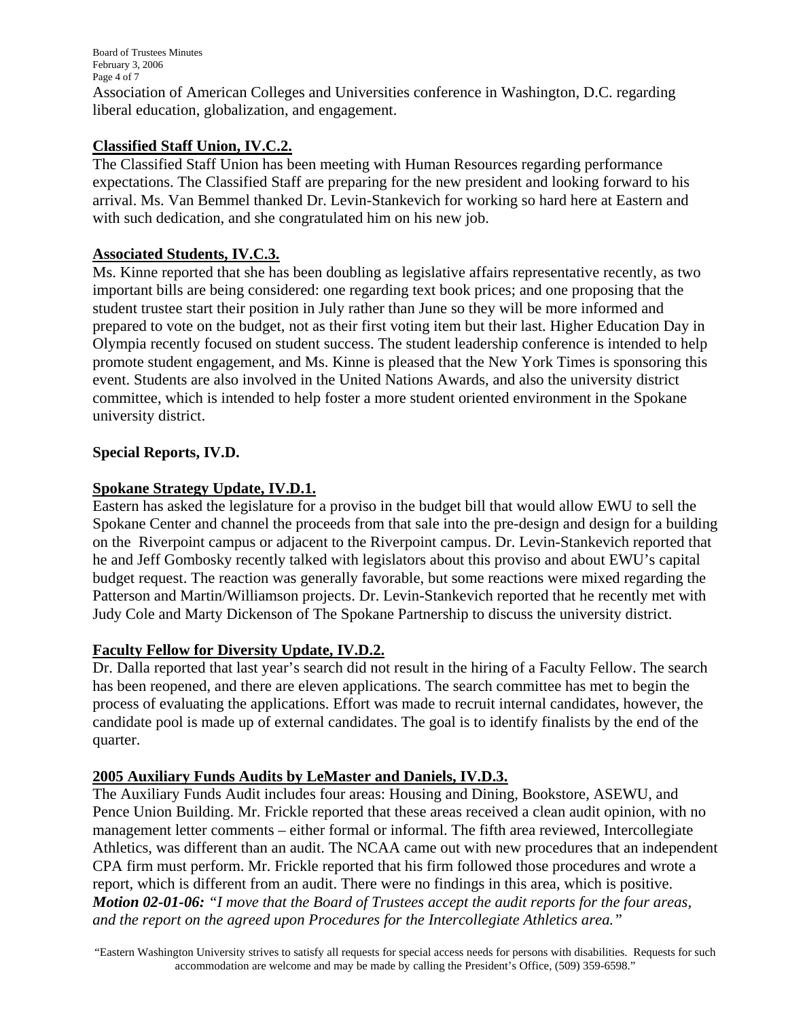Board of Trustees Minutes February 3, 2006 Page 4 of 7

Association of American Colleges and Universities conference in Washington, D.C. regarding liberal education, globalization, and engagement.

## **Classified Staff Union, IV.C.2.**

The Classified Staff Union has been meeting with Human Resources regarding performance expectations. The Classified Staff are preparing for the new president and looking forward to his arrival. Ms. Van Bemmel thanked Dr. Levin-Stankevich for working so hard here at Eastern and with such dedication, and she congratulated him on his new job.

## **Associated Students, IV.C.3.**

Ms. Kinne reported that she has been doubling as legislative affairs representative recently, as two important bills are being considered: one regarding text book prices; and one proposing that the student trustee start their position in July rather than June so they will be more informed and prepared to vote on the budget, not as their first voting item but their last. Higher Education Day in Olympia recently focused on student success. The student leadership conference is intended to help promote student engagement, and Ms. Kinne is pleased that the New York Times is sponsoring this event. Students are also involved in the United Nations Awards, and also the university district committee, which is intended to help foster a more student oriented environment in the Spokane university district.

## **Special Reports, IV.D.**

## **Spokane Strategy Update, IV.D.1.**

Eastern has asked the legislature for a proviso in the budget bill that would allow EWU to sell the Spokane Center and channel the proceeds from that sale into the pre-design and design for a building on the Riverpoint campus or adjacent to the Riverpoint campus. Dr. Levin-Stankevich reported that he and Jeff Gombosky recently talked with legislators about this proviso and about EWU's capital budget request. The reaction was generally favorable, but some reactions were mixed regarding the Patterson and Martin/Williamson projects. Dr. Levin-Stankevich reported that he recently met with Judy Cole and Marty Dickenson of The Spokane Partnership to discuss the university district.

## **Faculty Fellow for Diversity Update, IV.D.2.**

Dr. Dalla reported that last year's search did not result in the hiring of a Faculty Fellow. The search has been reopened, and there are eleven applications. The search committee has met to begin the process of evaluating the applications. Effort was made to recruit internal candidates, however, the candidate pool is made up of external candidates. The goal is to identify finalists by the end of the quarter.

## **2005 Auxiliary Funds Audits by LeMaster and Daniels, IV.D.3.**

The Auxiliary Funds Audit includes four areas: Housing and Dining, Bookstore, ASEWU, and Pence Union Building. Mr. Frickle reported that these areas received a clean audit opinion, with no management letter comments – either formal or informal. The fifth area reviewed, Intercollegiate Athletics, was different than an audit. The NCAA came out with new procedures that an independent CPA firm must perform. Mr. Frickle reported that his firm followed those procedures and wrote a report, which is different from an audit. There were no findings in this area, which is positive. *Motion 02-01-06: "I move that the Board of Trustees accept the audit reports for the four areas, and the report on the agreed upon Procedures for the Intercollegiate Athletics area."*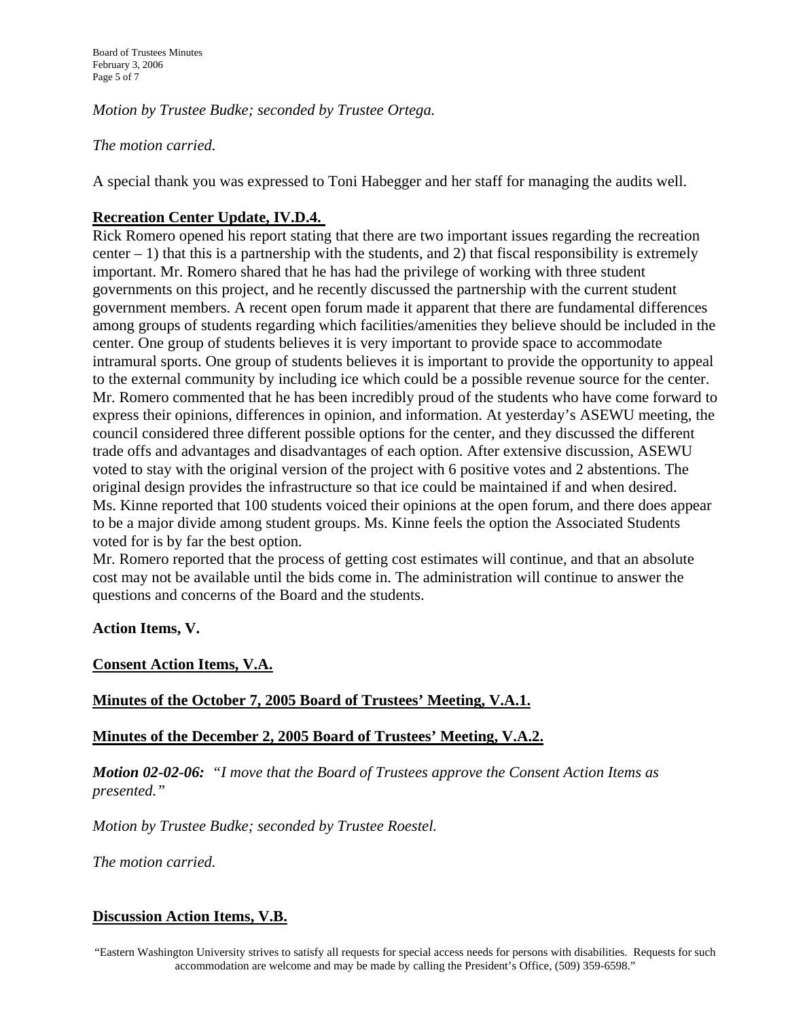*Motion by Trustee Budke; seconded by Trustee Ortega.* 

### *The motion carried.*

A special thank you was expressed to Toni Habegger and her staff for managing the audits well.

## **Recreation Center Update, IV.D.4.**

Rick Romero opened his report stating that there are two important issues regarding the recreation center  $-1$ ) that this is a partnership with the students, and 2) that fiscal responsibility is extremely important. Mr. Romero shared that he has had the privilege of working with three student governments on this project, and he recently discussed the partnership with the current student government members. A recent open forum made it apparent that there are fundamental differences among groups of students regarding which facilities/amenities they believe should be included in the center. One group of students believes it is very important to provide space to accommodate intramural sports. One group of students believes it is important to provide the opportunity to appeal to the external community by including ice which could be a possible revenue source for the center. Mr. Romero commented that he has been incredibly proud of the students who have come forward to express their opinions, differences in opinion, and information. At yesterday's ASEWU meeting, the council considered three different possible options for the center, and they discussed the different trade offs and advantages and disadvantages of each option. After extensive discussion, ASEWU voted to stay with the original version of the project with 6 positive votes and 2 abstentions. The original design provides the infrastructure so that ice could be maintained if and when desired. Ms. Kinne reported that 100 students voiced their opinions at the open forum, and there does appear to be a major divide among student groups. Ms. Kinne feels the option the Associated Students voted for is by far the best option.

Mr. Romero reported that the process of getting cost estimates will continue, and that an absolute cost may not be available until the bids come in. The administration will continue to answer the questions and concerns of the Board and the students.

#### **Action Items, V.**

## **Consent Action Items, V.A.**

## **Minutes of the October 7, 2005 Board of Trustees' Meeting, V.A.1.**

## **Minutes of the December 2, 2005 Board of Trustees' Meeting, V.A.2.**

*Motion 02-02-06: "I move that the Board of Trustees approve the Consent Action Items as presented."*

*Motion by Trustee Budke; seconded by Trustee Roestel.* 

*The motion carried.* 

## **Discussion Action Items, V.B.**

"Eastern Washington University strives to satisfy all requests for special access needs for persons with disabilities. Requests for such accommodation are welcome and may be made by calling the President's Office, (509) 359-6598."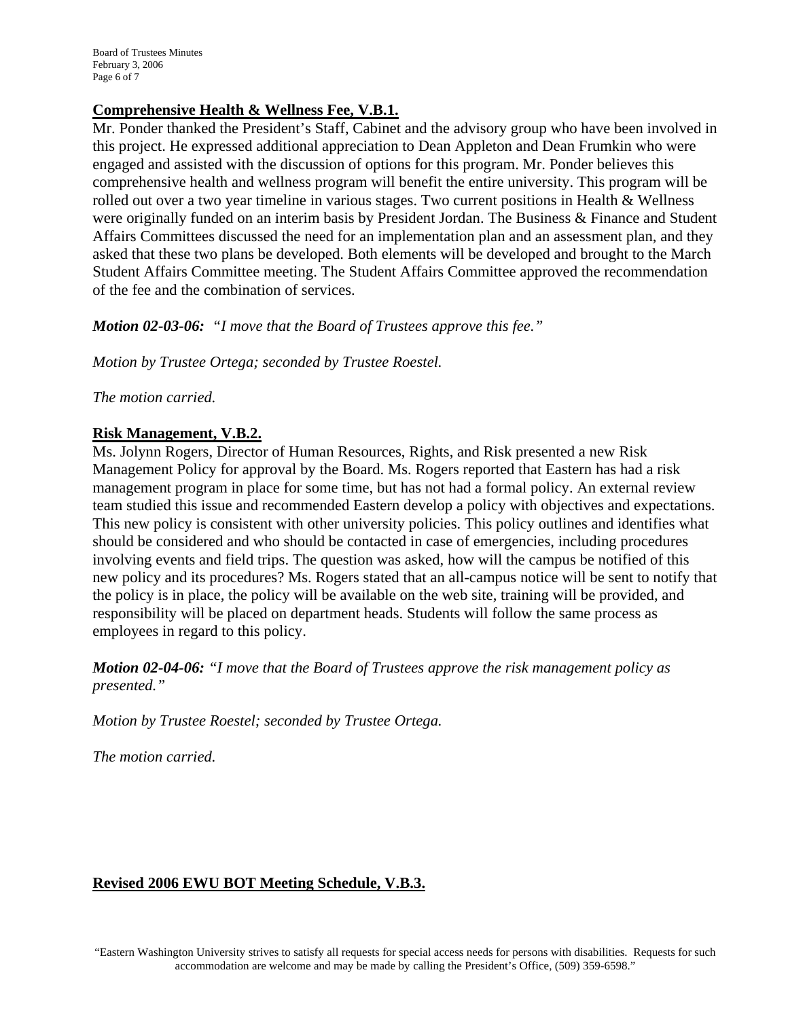## **Comprehensive Health & Wellness Fee, V.B.1.**

Mr. Ponder thanked the President's Staff, Cabinet and the advisory group who have been involved in this project. He expressed additional appreciation to Dean Appleton and Dean Frumkin who were engaged and assisted with the discussion of options for this program. Mr. Ponder believes this comprehensive health and wellness program will benefit the entire university. This program will be rolled out over a two year timeline in various stages. Two current positions in Health & Wellness were originally funded on an interim basis by President Jordan. The Business & Finance and Student Affairs Committees discussed the need for an implementation plan and an assessment plan, and they asked that these two plans be developed. Both elements will be developed and brought to the March Student Affairs Committee meeting. The Student Affairs Committee approved the recommendation of the fee and the combination of services.

*Motion 02-03-06: "I move that the Board of Trustees approve this fee."* 

*Motion by Trustee Ortega; seconded by Trustee Roestel.* 

*The motion carried.* 

### **Risk Management, V.B.2.**

Ms. Jolynn Rogers, Director of Human Resources, Rights, and Risk presented a new Risk Management Policy for approval by the Board. Ms. Rogers reported that Eastern has had a risk management program in place for some time, but has not had a formal policy. An external review team studied this issue and recommended Eastern develop a policy with objectives and expectations. This new policy is consistent with other university policies. This policy outlines and identifies what should be considered and who should be contacted in case of emergencies, including procedures involving events and field trips. The question was asked, how will the campus be notified of this new policy and its procedures? Ms. Rogers stated that an all-campus notice will be sent to notify that the policy is in place, the policy will be available on the web site, training will be provided, and responsibility will be placed on department heads. Students will follow the same process as employees in regard to this policy.

*Motion 02-04-06: "I move that the Board of Trustees approve the risk management policy as presented."* 

*Motion by Trustee Roestel; seconded by Trustee Ortega.* 

*The motion carried.* 

## **Revised 2006 EWU BOT Meeting Schedule, V.B.3.**